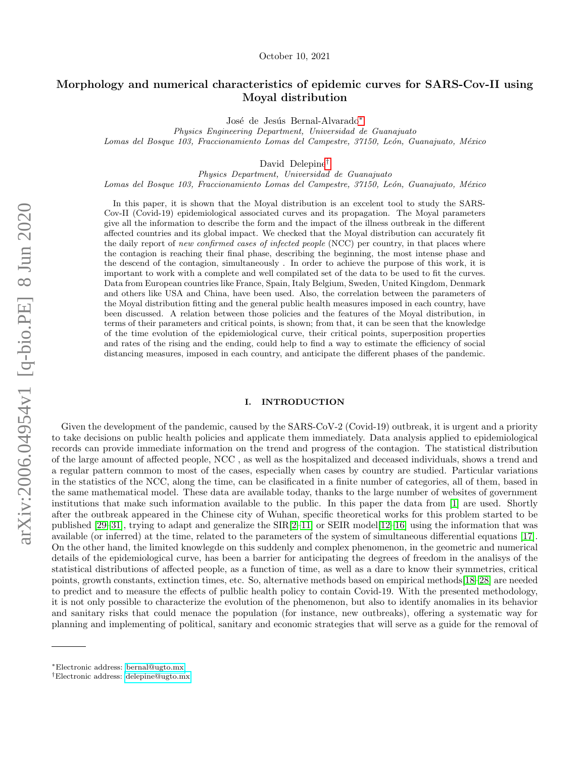# Morphology and numerical characteristics of epidemic curves for SARS-Cov-II using Moyal distribution

José de Jesús Bernal-Alvarado<sup>\*</sup>

Physics Engineering Department, Universidad de Guanajuato Lomas del Bosque 103, Fraccionamiento Lomas del Campestre, 37150, León, Guanajuato, México

David Delepine[†](#page-0-1)

Physics Department, Universidad de Guanajuato Lomas del Bosque 103, Fraccionamiento Lomas del Campestre, 37150, León, Guanajuato, México

In this paper, it is shown that the Moyal distribution is an excelent tool to study the SARS-Cov-II (Covid-19) epidemiological associated curves and its propagation. The Moyal parameters give all the information to describe the form and the impact of the illness outbreak in the different affected countries and its global impact. We checked that the Moyal distribution can accurately fit the daily report of new confirmed cases of infected people (NCC) per country, in that places where the contagion is reaching their final phase, describing the beginning, the most intense phase and the descend of the contagion, simultaneously . In order to achieve the purpose of this work, it is important to work with a complete and well compilated set of the data to be used to fit the curves. Data from European countries like France, Spain, Italy Belgium, Sweden, United Kingdom, Denmark and others like USA and China, have been used. Also, the correlation between the parameters of the Moyal distribution fitting and the general public health measures imposed in each country, have been discussed. A relation between those policies and the features of the Moyal distribution, in terms of their parameters and critical points, is shown; from that, it can be seen that the knowledge of the time evolution of the epidemiological curve, their critical points, superposition properties and rates of the rising and the ending, could help to find a way to estimate the efficiency of social distancing measures, imposed in each country, and anticipate the different phases of the pandemic.

### I. INTRODUCTION

Given the development of the pandemic, caused by the SARS-CoV-2 (Covid-19) outbreak, it is urgent and a priority to take decisions on public health policies and applicate them immediately. Data analysis applied to epidemiological records can provide immediate information on the trend and progress of the contagion. The statistical distribution of the large amount of affected people, NCC , as well as the hospitalized and deceased individuals, shows a trend and a regular pattern common to most of the cases, especially when cases by country are studied. Particular variations in the statistics of the NCC, along the time, can be clasificated in a finite number of categories, all of them, based in the same mathematical model. These data are available today, thanks to the large number of websites of government institutions that make such information available to the public. In this paper the data from [\[1\]](#page-6-0) are used. Shortly after the outbreak appeared in the Chinese city of Wuhan, specific theoretical works for this problem started to be published [\[29](#page-7-0)[–31\]](#page-7-1), trying to adapt and generalize the SIR[\[2–](#page-6-1)[11\]](#page-7-2) or SEIR model[\[12–](#page-7-3)[16\]](#page-7-4) using the information that was available (or inferred) at the time, related to the parameters of the system of simultaneous differential equations [\[17\]](#page-7-5). On the other hand, the limited knowlegde on this suddenly and complex phenomenon, in the geometric and numerical details of the epidemiological curve, has been a barrier for anticipating the degrees of freedom in the analisys of the statistical distributions of affected people, as a function of time, as well as a dare to know their symmetries, critical points, growth constants, extinction times, etc. So, alternative methods based on empirical methods[\[18–](#page-7-6)[28\]](#page-7-7) are needed to predict and to measure the effects of pulblic health policy to contain Covid-19. With the presented methodology, it is not only possible to characterize the evolution of the phenomenon, but also to identify anomalies in its behavior and sanitary risks that could menace the population (for instance, new outbreaks), offering a systematic way for planning and implementing of political, sanitary and economic strategies that will serve as a guide for the removal of

<span id="page-0-0"></span><sup>∗</sup>Electronic address: [bernal@ugto.mx](mailto:bernal@ugto.mx)

<span id="page-0-1"></span><sup>†</sup>Electronic address: [delepine@ugto.mx](mailto:delepine@ugto.mx)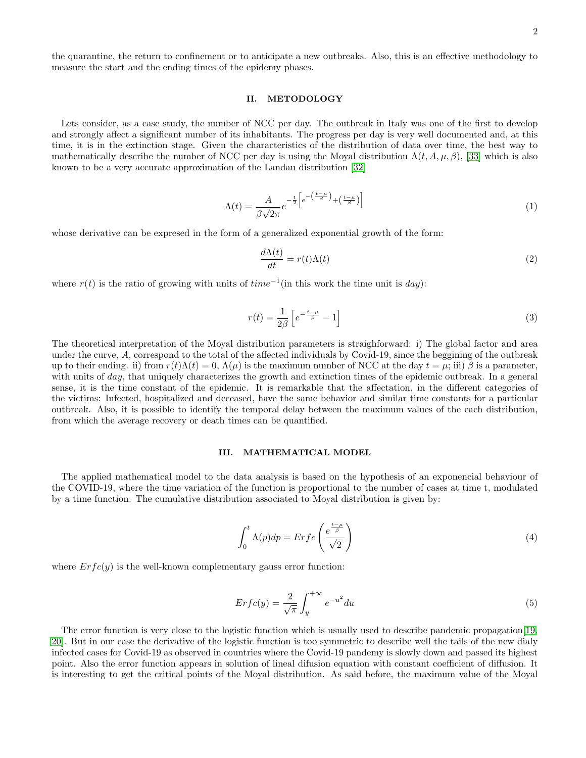the quarantine, the return to confinement or to anticipate a new outbreaks. Also, this is an effective methodology to measure the start and the ending times of the epidemy phases.

### II. METODOLOGY

Lets consider, as a case study, the number of NCC per day. The outbreak in Italy was one of the first to develop and strongly affect a significant number of its inhabitants. The progress per day is very well documented and, at this time, it is in the extinction stage. Given the characteristics of the distribution of data over time, the best way to mathematically describe the number of NCC per day is using the Moyal distribution  $\Lambda(t, A, \mu, \beta)$ , [\[33\]](#page-7-8) which is also known to be a very accurate approximation of the Landau distribution [\[32\]](#page-7-9)

$$
\Lambda(t) = \frac{A}{\beta\sqrt{2\pi}}e^{-\frac{1}{2}\left[e^{-\left(\frac{t-\mu}{\beta}\right)} + \left(\frac{t-\mu}{\beta}\right)\right]}
$$
(1)

whose derivative can be expresed in the form of a generalized exponential growth of the form:

$$
\frac{d\Lambda(t)}{dt} = r(t)\Lambda(t) \tag{2}
$$

where  $r(t)$  is the ratio of growing with units of  $time^{-1}$ (in this work the time unit is day):

$$
r(t) = \frac{1}{2\beta} \left[ e^{-\frac{t-\mu}{\beta}} - 1 \right]
$$
\n<sup>(3)</sup>

The theoretical interpretation of the Moyal distribution parameters is straighforward: i) The global factor and area under the curve, A, correspond to the total of the affected individuals by Covid-19, since the beggining of the outbreak up to their ending. ii) from  $r(t)\Lambda(t) = 0$ ,  $\Lambda(\mu)$  is the maximum number of NCC at the day  $t = \mu$ ; iii)  $\beta$  is a parameter, with units of *day*, that uniquely characterizes the growth and extinction times of the epidemic outbreak. In a general sense, it is the time constant of the epidemic. It is remarkable that the affectation, in the different categories of the victims: Infected, hospitalized and deceased, have the same behavior and similar time constants for a particular outbreak. Also, it is possible to identify the temporal delay between the maximum values of the each distribution, from which the average recovery or death times can be quantified.

### III. MATHEMATICAL MODEL

The applied mathematical model to the data analysis is based on the hypothesis of an exponencial behaviour of the COVID-19, where the time variation of the function is proportional to the number of cases at time t, modulated by a time function. The cumulative distribution associated to Moyal distribution is given by:

$$
\int_0^t \Lambda(p) dp = Erfc\left(\frac{e^{\frac{t-\mu}{\beta}}}{\sqrt{2}}\right) \tag{4}
$$

where  $Erfc(y)$  is the well-known complementary gauss error function:

$$
Erfc(y) = \frac{2}{\sqrt{\pi}} \int_{y}^{+\infty} e^{-u^2} du
$$
\n(5)

The error function is very close to the logistic function which is usually used to describe pandemic propagation[\[19,](#page-7-10) [20\]](#page-7-11). But in our case the derivative of the logistic function is too symmetric to describe well the tails of the new dialy infected cases for Covid-19 as observed in countries where the Covid-19 pandemy is slowly down and passed its highest point. Also the error function appears in solution of lineal difusion equation with constant coefficient of diffusion. It is interesting to get the critical points of the Moyal distribution. As said before, the maximum value of the Moyal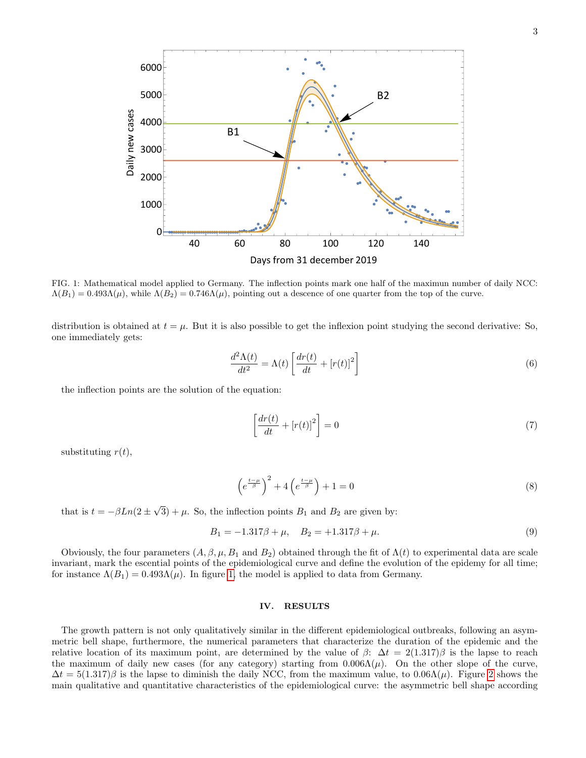

<span id="page-2-0"></span>FIG. 1: Mathematical model applied to Germany. The inflection points mark one half of the maximun number of daily NCC:  $\Lambda(B_1) = 0.493\Lambda(\mu)$ , while  $\Lambda(B_2) = 0.746\Lambda(\mu)$ , pointing out a descence of one quarter from the top of the curve.

distribution is obtained at  $t = \mu$ . But it is also possible to get the inflexion point studying the second derivative: So, one immediately gets:

$$
\frac{d^2\Lambda(t)}{dt^2} = \Lambda(t) \left[ \frac{dr(t)}{dt} + \left[ r(t) \right]^2 \right] \tag{6}
$$

the inflection points are the solution of the equation:

$$
\left[\frac{dr(t)}{dt} + [r(t)]^2\right] = 0\tag{7}
$$

substituting  $r(t)$ ,

$$
\left(e^{\frac{t-\mu}{\beta}}\right)^2 + 4\left(e^{\frac{t-\mu}{\beta}}\right) + 1 = 0\tag{8}
$$

that is  $t = -\beta Ln(2 \pm \frac{1}{2})$ √  $3) + \mu$ . So, the inflection points  $B_1$  and  $B_2$  are given by:

$$
B_1 = -1.317\beta + \mu, \quad B_2 = +1.317\beta + \mu. \tag{9}
$$

Obviously, the four parameters  $(A, \beta, \mu, B_1 \text{ and } B_2)$  obtained through the fit of  $\Lambda(t)$  to experimental data are scale invariant, mark the escential points of the epidemiological curve and define the evolution of the epidemy for all time; for instance  $\Lambda(B_1) = 0.493 \Lambda(\mu)$ . In figure [1,](#page-2-0) the model is applied to data from Germany.

### IV. RESULTS

The growth pattern is not only qualitatively similar in the different epidemiological outbreaks, following an asymmetric bell shape, furthermore, the numerical parameters that characterize the duration of the epidemic and the relative location of its maximum point, are determined by the value of  $\beta$ :  $\Delta t = 2(1.317)\beta$  is the lapse to reach the maximum of daily new cases (for any category) starting from  $0.006\Lambda(\mu)$ . On the other slope of the curve,  $\Delta t = 5(1.317)\beta$  is the lapse to diminish the daily NCC, from the maximum value, to  $0.06\Lambda(\mu)$ . Figure [2](#page-3-0) shows the main qualitative and quantitative characteristics of the epidemiological curve: the asymmetric bell shape according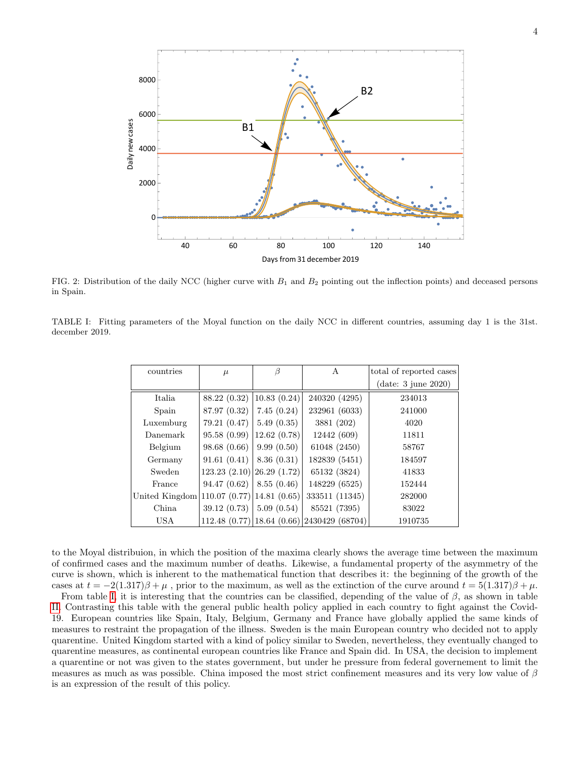

<span id="page-3-0"></span>FIG. 2: Distribution of the daily NCC (higher curve with  $B_1$  and  $B_2$  pointing out the inflection points) and deceased persons in Spain.

<span id="page-3-1"></span>TABLE I: Fitting parameters of the Moyal function on the daily NCC in different countries, assuming day 1 is the 31st. december 2019.

| countries                                     | $\mu$                              | ß           | А                                               | total of reported cases |
|-----------------------------------------------|------------------------------------|-------------|-------------------------------------------------|-------------------------|
|                                               |                                    |             |                                                 | $(data: 3$ june $2020)$ |
| Italia                                        | 88.22 (0.32)                       | 10.83(0.24) | 240320 (4295)                                   | 234013                  |
| Spain                                         | 87.97 (0.32)                       | 7.45(0.24)  | 232961 (6033)                                   | 241000                  |
| Luxemburg                                     | 79.21 (0.47)                       | 5.49(0.35)  | 3881 (202)                                      | 4020                    |
| Danemark                                      | 95.58 (0.99)                       | 12.62(0.78) | 12442 (609)                                     | 11811                   |
| Belgium                                       | 98.68 (0.66)                       | 9.99(0.50)  | 61048 (2450)                                    | 58767                   |
| Germany                                       | 91.61(0.41)                        | 8.36(0.31)  | 182839 (5451)                                   | 184597                  |
| Sweden                                        | $123.23$ $(2.10)$ $26.29$ $(1.72)$ |             | 65132 (3824)                                    | 41833                   |
| France                                        | 94.47 (0.62)                       | 8.55(0.46)  | 148229 (6525)                                   | 152444                  |
| United Kingdom 110.07 $(0.77)$ 14.81 $(0.65)$ |                                    |             | 333511 (11345)                                  | 282000                  |
| China                                         | 39.12 (0.73)                       | 5.09(0.54)  | 85521 (7395)                                    | 83022                   |
| <b>USA</b>                                    |                                    |             | $112.48$ (0.77) [18.64 (0.66) [2430429 (68704)] | 1910735                 |

to the Moyal distribuion, in which the position of the maxima clearly shows the average time between the maximum of confirmed cases and the maximum number of deaths. Likewise, a fundamental property of the asymmetry of the curve is shown, which is inherent to the mathematical function that describes it: the beginning of the growth of the cases at  $t = -2(1.317)\beta + \mu$ , prior to the maximum, as well as the extinction of the curve around  $t = 5(1.317)\beta + \mu$ .

From table [I,](#page-3-1) it is interesting that the countries can be classified, depending of the value of  $\beta$ , as shown in table [II.](#page-4-0) Contrasting this table with the general public health policy applied in each country to fight against the Covid-19. European countries like Spain, Italy, Belgium, Germany and France have globally applied the same kinds of measures to restraint the propagation of the illness. Sweden is the main European country who decided not to apply quarentine. United Kingdom started with a kind of policy similar to Sweden, nevertheless, they eventually changed to quarentine measures, as continental european countries like France and Spain did. In USA, the decision to implement a quarentine or not was given to the states government, but under he pressure from federal governement to limit the measures as much as was possible. China imposed the most strict confinement measures and its very low value of  $\beta$ is an expression of the result of this policy.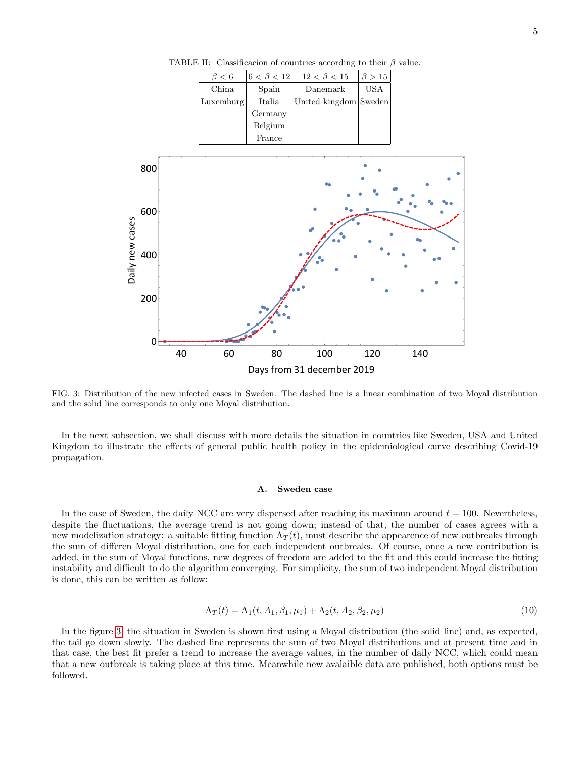

<span id="page-4-0"></span>TABLE II: Classificacion of countries according to their  $\beta$  value.

<span id="page-4-1"></span>FIG. 3: Distribution of the new infected cases in Sweden. The dashed line is a linear combination of two Moyal distribution and the solid line corresponds to only one Moyal distribution.

In the next subsection, we shall discuss with more details the situation in countries like Sweden, USA and United Kingdom to illustrate the effects of general public health policy in the epidemiological curve describing Covid-19 propagation.

#### A. Sweden case

In the case of Sweden, the daily NCC are very dispersed after reaching its maximun around  $t = 100$ . Nevertheless, despite the fluctuations, the average trend is not going down; instead of that, the number of cases agrees with a new modelization strategy: a suitable fitting function  $\Lambda_T(t)$ , must describe the appearence of new outbreaks through the sum of differen Moyal distribution, one for each independent outbreaks. Of course, once a new contribution is added, in the sum of Moyal functions, new degrees of freedom are added to the fit and this could increase the fitting instability and difficult to do the algorithm converging. For simplicity, the sum of two independent Moyal distribution is done, this can be written as follow:

<span id="page-4-2"></span>
$$
\Lambda_T(t) = \Lambda_1(t, A_1, \beta_1, \mu_1) + \Lambda_2(t, A_2, \beta_2, \mu_2)
$$
\n(10)

In the figure [3,](#page-4-1) the situation in Sweden is shown first using a Moyal distribution (the solid line) and, as expected, the tail go down slowly. The dashed line represents the sum of two Moyal distributions and at present time and in that case, the best fit prefer a trend to increase the average values, in the number of daily NCC, which could mean that a new outbreak is taking place at this time. Meanwhile new avalaible data are published, both options must be followed.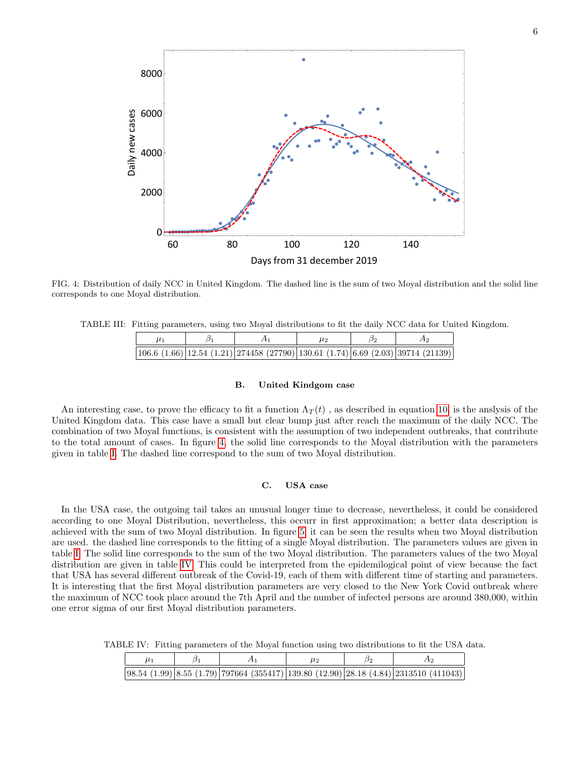

<span id="page-5-0"></span>FIG. 4: Distribution of daily NCC in United Kingdom. The dashed line is the sum of two Moyal distribution and the solid line corresponds to one Moyal distribution.

TABLE III: Fitting parameters, using two Moyal distributions to fit the daily NCC data for United Kingdom.

|  | $ 106.6 (1.66) 12.54 (1.21) 274458 (27790) 130.61 (1.74) 6.69 (2.03) 39714 (21139) $ |  |  |
|--|--------------------------------------------------------------------------------------|--|--|

### B. United Kindgom case

An interesting case, to prove the efficacy to fit a function  $\Lambda_T(t)$ , as described in equation [10,](#page-4-2) is the anslysis of the United Kingdom data. This case have a small but clear bump just after reach the maximum of the daily NCC. The combination of two Moyal functions, is consistent with the assumption of two independent outbreaks, that contribute to the total amount of cases. In figure [4,](#page-5-0) the solid line corresponds to the Moyal distribution with the parameters given in table [I.](#page-3-1) The dashed line correspond to the sum of two Moyal distribution.

# C. USA case

In the USA case, the outgoing tail takes an unusual longer time to decrease, nevertheless, it could be considered according to one Moyal Distribution, nevertheless, this occurr in first approximation; a better data description is achieved with the sum of two Moyal distribution. In figure [5,](#page-6-2) it can be seen the results when two Moyal distribution are used. the dashed line corresponds to the fitting of a single Moyal distribution. The parameters values are given in table [I.](#page-3-1) The solid line corresponds to the sum of the two Moyal distribution. The parameters values of the two Moyal distribution are given in table [IV.](#page-5-1) This could be interpreted from the epidemilogical point of view because the fact that USA has several different outbreak of the Covid-19, each of them with different time of starting and parameters. It is interesting that the first Moyal distribution parameters are very closed to the New York Covid outbreak where the maximum of NCC took place around the 7th April and the number of infected persons are around 380,000, within one error sigma of our first Moyal distribution parameters.

TABLE IV: Fitting parameters of the Moyal function using two distributions to fit the USA data.

<span id="page-5-1"></span>

|  |  |  | $\vert 98.54 \ (1.99) \vert 8.55 \ (1.79) \vert 797664 \ (355417) \vert 139.80 \ (12.90) \vert 28.18 \ (4.84) \vert 2313510 \ (411043) \vert$ |
|--|--|--|-----------------------------------------------------------------------------------------------------------------------------------------------|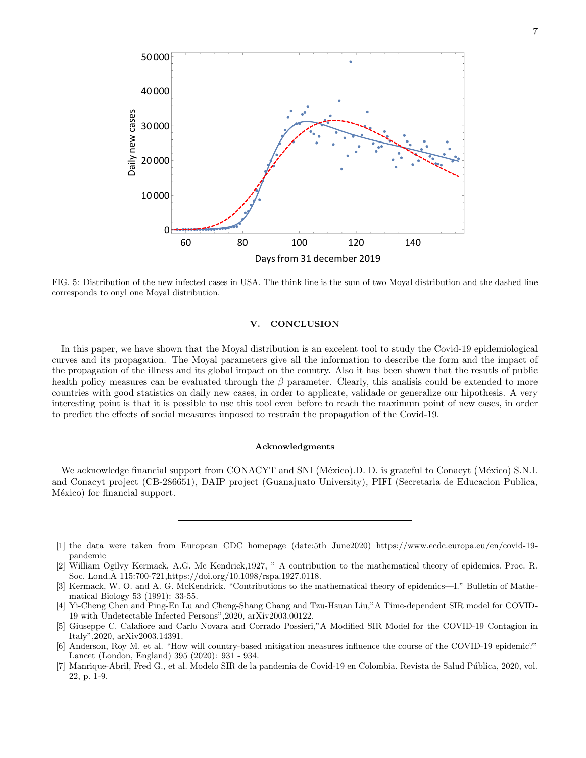

<span id="page-6-2"></span>FIG. 5: Distribution of the new infected cases in USA. The think line is the sum of two Moyal distribution and the dashed line corresponds to onyl one Moyal distribution.

# V. CONCLUSION

In this paper, we have shown that the Moyal distribution is an excelent tool to study the Covid-19 epidemiological curves and its propagation. The Moyal parameters give all the information to describe the form and the impact of the propagation of the illness and its global impact on the country. Also it has been shown that the resutls of public health policy measures can be evaluated through the  $\beta$  parameter. Clearly, this analisis could be extended to more countries with good statistics on daily new cases, in order to applicate, validade or generalize our hipothesis. A very interesting point is that it is possible to use this tool even before to reach the maximum point of new cases, in order to predict the effects of social measures imposed to restrain the propagation of the Covid-19.

### Acknowledgments

We acknowledge financial support from CONACYT and SNI (México).D. D. is grateful to Conacyt (México) S.N.I. and Conacyt project (CB-286651), DAIP project (Guanajuato University), PIFI (Secretaria de Educacion Publica, México) for financial support.

- <span id="page-6-0"></span>[1] the data were taken from European CDC homepage (date:5th June2020) https://www.ecdc.europa.eu/en/covid-19 pandemic
- <span id="page-6-1"></span>[2] William Ogilvy Kermack, A.G. Mc Kendrick,1927, " A contribution to the mathematical theory of epidemics. Proc. R. Soc. Lond.A 115:700-721,https://doi.org/10.1098/rspa.1927.0118.
- [3] Kermack, W. O. and A. G. McKendrick. "Contributions to the mathematical theory of epidemics—I." Bulletin of Mathematical Biology 53 (1991): 33-55.
- [4] Yi-Cheng Chen and Ping-En Lu and Cheng-Shang Chang and Tzu-Hsuan Liu,"A Time-dependent SIR model for COVID-19 with Undetectable Infected Persons",2020, arXiv2003.00122.
- [5] Giuseppe C. Calafiore and Carlo Novara and Corrado Possieri,"A Modified SIR Model for the COVID-19 Contagion in Italy",2020, arXiv2003.14391.
- [6] Anderson, Roy M. et al. "How will country-based mitigation measures influence the course of the COVID-19 epidemic?" Lancet (London, England) 395 (2020): 931 - 934.
- [7] Manrique-Abril, Fred G., et al. Modelo SIR de la pandemia de Covid-19 en Colombia. Revista de Salud P´ublica, 2020, vol. 22, p. 1-9.